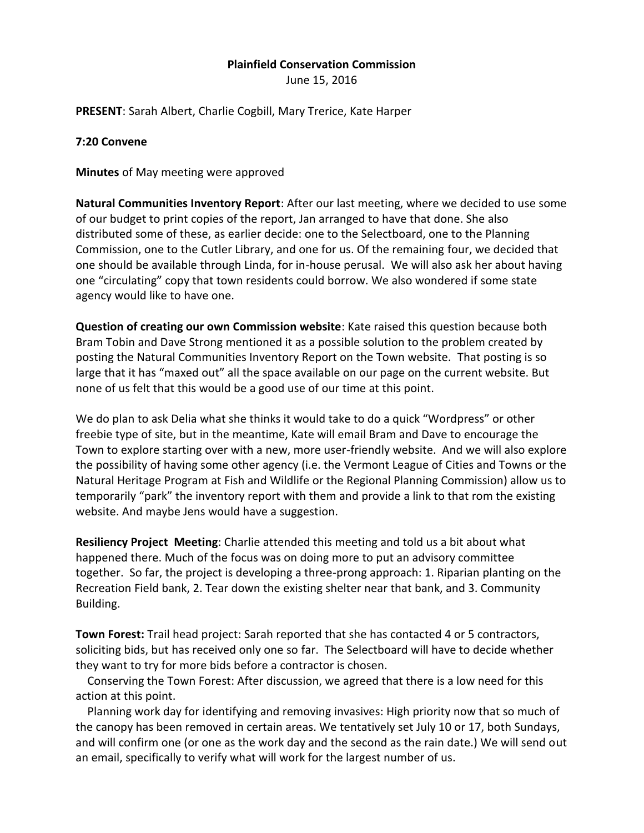## **Plainfield Conservation Commission**

June 15, 2016

**PRESENT**: Sarah Albert, Charlie Cogbill, Mary Trerice, Kate Harper

## **7:20 Convene**

**Minutes** of May meeting were approved

**Natural Communities Inventory Report**: After our last meeting, where we decided to use some of our budget to print copies of the report, Jan arranged to have that done. She also distributed some of these, as earlier decide: one to the Selectboard, one to the Planning Commission, one to the Cutler Library, and one for us. Of the remaining four, we decided that one should be available through Linda, for in-house perusal. We will also ask her about having one "circulating" copy that town residents could borrow. We also wondered if some state agency would like to have one.

**Question of creating our own Commission website**: Kate raised this question because both Bram Tobin and Dave Strong mentioned it as a possible solution to the problem created by posting the Natural Communities Inventory Report on the Town website. That posting is so large that it has "maxed out" all the space available on our page on the current website. But none of us felt that this would be a good use of our time at this point.

We do plan to ask Delia what she thinks it would take to do a quick "Wordpress" or other freebie type of site, but in the meantime, Kate will email Bram and Dave to encourage the Town to explore starting over with a new, more user-friendly website. And we will also explore the possibility of having some other agency (i.e. the Vermont League of Cities and Towns or the Natural Heritage Program at Fish and Wildlife or the Regional Planning Commission) allow us to temporarily "park" the inventory report with them and provide a link to that rom the existing website. And maybe Jens would have a suggestion.

**Resiliency Project Meeting**: Charlie attended this meeting and told us a bit about what happened there. Much of the focus was on doing more to put an advisory committee together. So far, the project is developing a three-prong approach: 1. Riparian planting on the Recreation Field bank, 2. Tear down the existing shelter near that bank, and 3. Community Building.

**Town Forest:** Trail head project: Sarah reported that she has contacted 4 or 5 contractors, soliciting bids, but has received only one so far. The Selectboard will have to decide whether they want to try for more bids before a contractor is chosen.

 Conserving the Town Forest: After discussion, we agreed that there is a low need for this action at this point.

 Planning work day for identifying and removing invasives: High priority now that so much of the canopy has been removed in certain areas. We tentatively set July 10 or 17, both Sundays, and will confirm one (or one as the work day and the second as the rain date.) We will send out an email, specifically to verify what will work for the largest number of us.